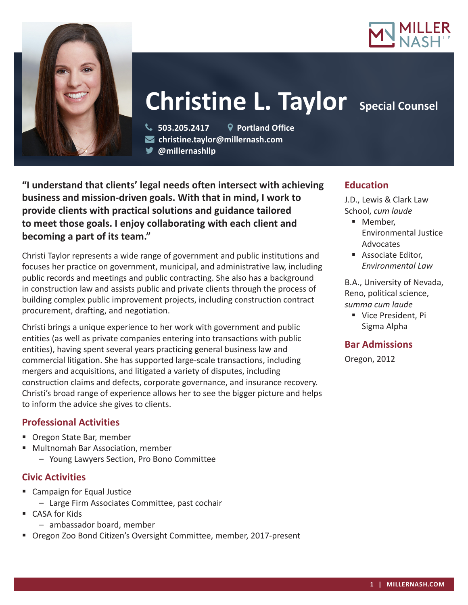



# **Christine L. Taylor** Special Counsel

 **503.205.2417 Portland Office christine.taylor@millernash.com** 

**@millernashllp** 

**"I understand that clients' legal needs often intersect with achieving business and mission-driven goals. With that in mind, I work to provide clients with practical solutions and guidance tailored to meet those goals. I enjoy collaborating with each client and becoming a part of its team."**

Christi Taylor represents a wide range of government and public institutions and focuses her practice on government, municipal, and administrative law, including public records and meetings and public contracting. She also has a background in construction law and assists public and private clients through the process of building complex public improvement projects, including construction contract procurement, drafting, and negotiation.

Christi brings a unique experience to her work with government and public entities (as well as private companies entering into transactions with public entities), having spent several years practicing general business law and commercial litigation. She has supported large-scale transactions, including mergers and acquisitions, and litigated a variety of disputes, including construction claims and defects, corporate governance, and insurance recovery. Christi's broad range of experience allows her to see the bigger picture and helps to inform the advice she gives to clients.

## **Professional Activities**

- **Oregon State Bar, member**
- Multnomah Bar Association, member
	- Young Lawyers Section, Pro Bono Committee

## **Civic Activities**

- Campaign for Equal Justice – Large Firm Associates Committee, past cochair
- CASA for Kids
	- ambassador board, member
- Oregon Zoo Bond Citizen's Oversight Committee, member, 2017-present

## **Education**

J.D., Lewis & Clark Law School, *cum laude*

- Member. Environmental Justice Advocates
- **Associate Editor.** *Environmental Law*

B.A., University of Nevada, Reno, political science, *summa cum laude*

**Vice President, Pi** Sigma Alpha

## **Bar Admissions**

Oregon, 2012